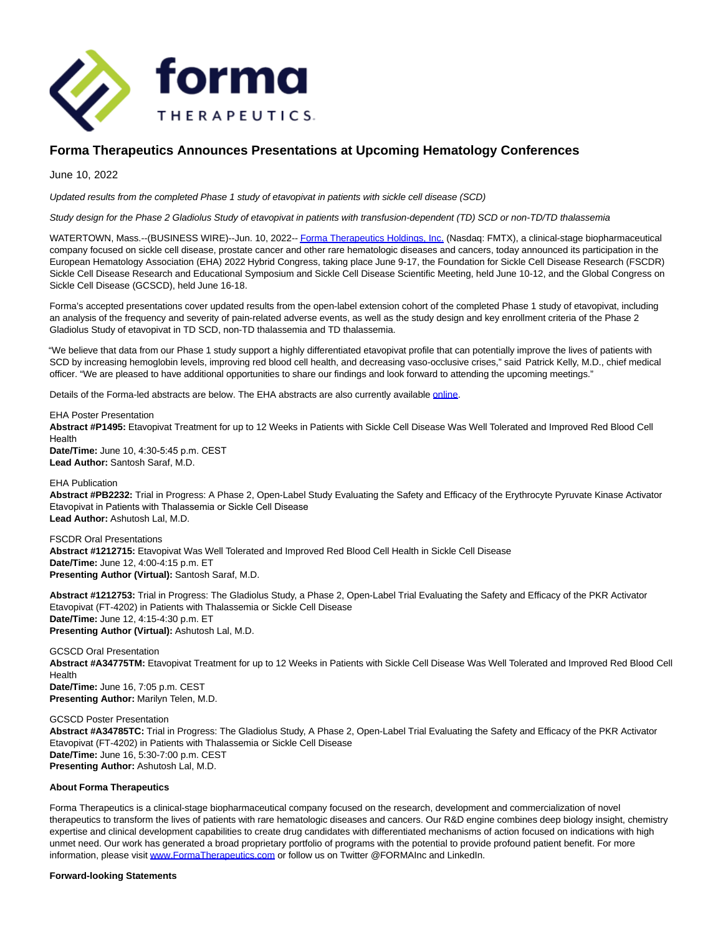

# **Forma Therapeutics Announces Presentations at Upcoming Hematology Conferences**

June 10, 2022

Updated results from the completed Phase 1 study of etavopivat in patients with sickle cell disease (SCD)

Study design for the Phase 2 Gladiolus Study of etavopivat in patients with transfusion-dependent (TD) SCD or non-TD/TD thalassemia

WATERTOWN, Mass.--(BUSINESS WIRE)--Jun. 10, 2022-- Forma Therapeutics Holdings. Inc. (Nasdaq: FMTX), a clinical-stage biopharmaceutical company focused on sickle cell disease, prostate cancer and other rare hematologic diseases and cancers, today announced its participation in the European Hematology Association (EHA) 2022 Hybrid Congress, taking place June 9-17, the Foundation for Sickle Cell Disease Research (FSCDR) Sickle Cell Disease Research and Educational Symposium and Sickle Cell Disease Scientific Meeting, held June 10-12, and the Global Congress on Sickle Cell Disease (GCSCD), held June 16-18.

Forma's accepted presentations cover updated results from the open-label extension cohort of the completed Phase 1 study of etavopivat, including an analysis of the frequency and severity of pain-related adverse events, as well as the study design and key enrollment criteria of the Phase 2 Gladiolus Study of etavopivat in TD SCD, non-TD thalassemia and TD thalassemia.

"We believe that data from our Phase 1 study support a highly differentiated etavopivat profile that can potentially improve the lives of patients with SCD by increasing hemoglobin levels, improving red blood cell health, and decreasing vaso-occlusive crises," said Patrick Kelly, M.D., chief medical officer. "We are pleased to have additional opportunities to share our findings and look forward to attending the upcoming meetings."

Details of the Forma-led abstracts are below. The EHA abstracts are also currently available [online.](https://cts.businesswire.com/ct/CT?id=smartlink&url=https%3A%2F%2Fehaweb.org%2F&esheet=52745312&newsitemid=20220610005055&lan=en-US&anchor=online&index=2&md5=d45d4876a113155ecc51a81748ed9e04)

EHA Poster Presentation

**Abstract #P1495:** Etavopivat Treatment for up to 12 Weeks in Patients with Sickle Cell Disease Was Well Tolerated and Improved Red Blood Cell Health

**Date/Time:** June 10, 4:30-5:45 p.m. CEST **Lead Author:** Santosh Saraf, M.D.

### EHA Publication

**Abstract #PB2232:** Trial in Progress: A Phase 2, Open-Label Study Evaluating the Safety and Efficacy of the Erythrocyte Pyruvate Kinase Activator Etavopivat in Patients with Thalassemia or Sickle Cell Disease **Lead Author:** Ashutosh Lal, M.D.

FSCDR Oral Presentations **Abstract #1212715:** Etavopivat Was Well Tolerated and Improved Red Blood Cell Health in Sickle Cell Disease **Date/Time:** June 12, 4:00-4:15 p.m. ET **Presenting Author (Virtual):** Santosh Saraf, M.D.

**Abstract #1212753:** Trial in Progress: The Gladiolus Study, a Phase 2, Open-Label Trial Evaluating the Safety and Efficacy of the PKR Activator Etavopivat (FT-4202) in Patients with Thalassemia or Sickle Cell Disease **Date/Time:** June 12, 4:15-4:30 p.m. ET **Presenting Author (Virtual):** Ashutosh Lal, M.D.

GCSCD Oral Presentation **Abstract #A34775TM:** Etavopivat Treatment for up to 12 Weeks in Patients with Sickle Cell Disease Was Well Tolerated and Improved Red Blood Cell Health **Date/Time:** June 16, 7:05 p.m. CEST **Presenting Author:** Marilyn Telen, M.D.

GCSCD Poster Presentation **Abstract #A34785TC:** Trial in Progress: The Gladiolus Study, A Phase 2, Open-Label Trial Evaluating the Safety and Efficacy of the PKR Activator Etavopivat (FT-4202) in Patients with Thalassemia or Sickle Cell Disease **Date/Time:** June 16, 5:30-7:00 p.m. CEST **Presenting Author:** Ashutosh Lal, M.D.

## **About Forma Therapeutics**

Forma Therapeutics is a clinical-stage biopharmaceutical company focused on the research, development and commercialization of novel therapeutics to transform the lives of patients with rare hematologic diseases and cancers. Our R&D engine combines deep biology insight, chemistry expertise and clinical development capabilities to create drug candidates with differentiated mechanisms of action focused on indications with high unmet need. Our work has generated a broad proprietary portfolio of programs with the potential to provide profound patient benefit. For more information, please visi[t www.FormaTherapeutics.com o](https://cts.businesswire.com/ct/CT?id=smartlink&url=http%3A%2F%2Fwww.FormaTherapeutics.com&esheet=52745312&newsitemid=20220610005055&lan=en-US&anchor=www.FormaTherapeutics.com&index=3&md5=63c1fb6276e8aef1e2aaef8bb3aedb93)r follow us on Twitter @FORMAInc and LinkedIn.

### **Forward-looking Statements**